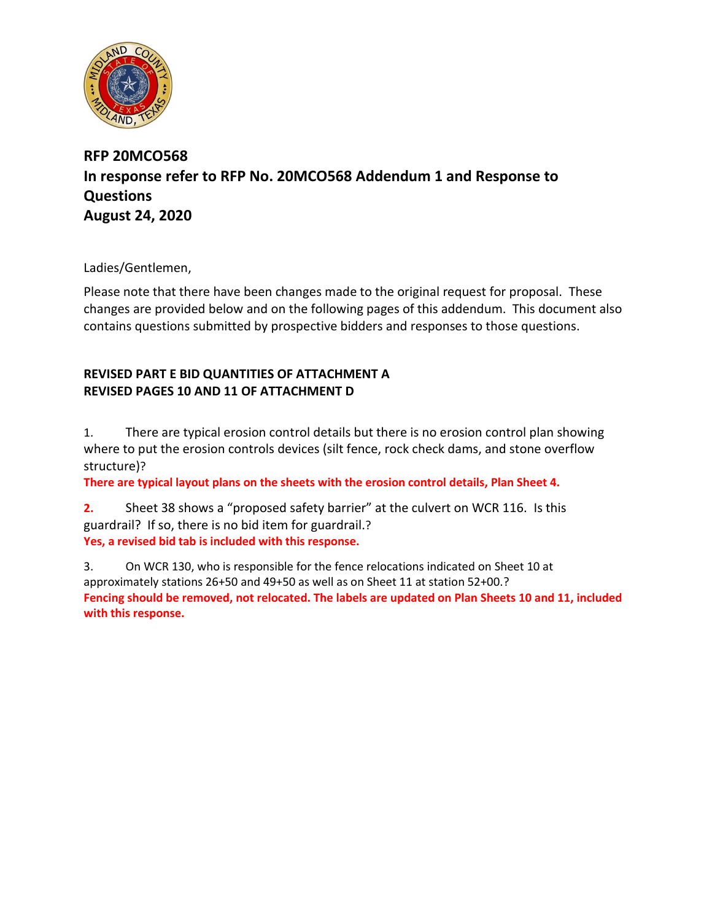

## **RFP 20MCO568 In response refer to RFP No. 20MCO568 Addendum 1 and Response to Questions August 24, 2020**

Ladies/Gentlemen,

Please note that there have been changes made to the original request for proposal. These changes are provided below and on the following pages of this addendum. This document also contains questions submitted by prospective bidders and responses to those questions.

## **REVISED PART E BID QUANTITIES OF ATTACHMENT A REVISED PAGES 10 AND 11 OF ATTACHMENT D**

1. There are typical erosion control details but there is no erosion control plan showing where to put the erosion controls devices (silt fence, rock check dams, and stone overflow structure)?

**There are typical layout plans on the sheets with the erosion control details, Plan Sheet 4.**

**2.** Sheet 38 shows a "proposed safety barrier" at the culvert on WCR 116. Is this guardrail? If so, there is no bid item for guardrail.? **Yes, a revised bid tab is included with this response.**

3. On WCR 130, who is responsible for the fence relocations indicated on Sheet 10 at approximately stations 26+50 and 49+50 as well as on Sheet 11 at station 52+00.? **Fencing should be removed, not relocated. The labels are updated on Plan Sheets 10 and 11, included with this response.**